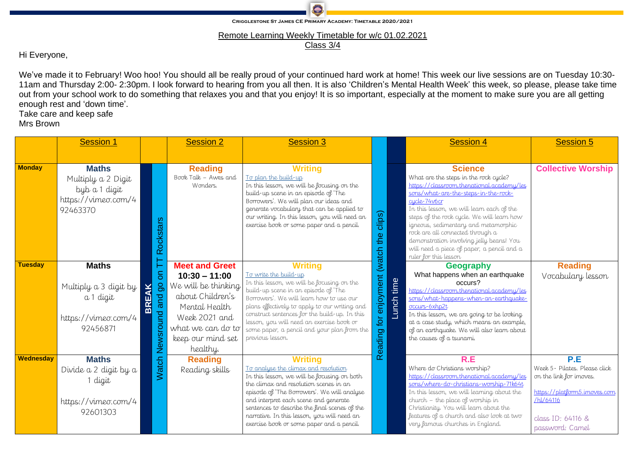

**CRIGGLESTONE ST JAMES CE PRIMARY ACADEMY: TIMETABLE 2020/2021** 

We've made it to February! Woo hoo! You should all be really proud of your continued hard work at home! This week our live sessions are on Tuesday 10:30- 11am and Thursday 2:00- 2:30pm. I look forward to hearing from you all then. It is also 'Children's Mental Health Week' this week, so please, please take time out from your school work to do something that relaxes you and that you enjoy! It is so important, especially at the moment to make sure you are all getting enough rest and 'down time'. Take care and keep safe

Remote Learning Weekly Timetable for w/c 01.02.2021

Class 3/4

Hi Everyone,

Mrs Brown

|                | <b>Session 1</b>                                                                       |                                                                      | <b>Session 2</b>                                                                                                                                                            | <b>Session 3</b>                                                                                                                                                                                                                                                                                                                                                                                   |                                 |            | <b>Session 4</b>                                                                                                                                                                                                                                                                                                                                  | <b>Session 5</b>                                                                                                                                     |                                                                                                                                                                                                                                                                                                                                                                                                                                                        |                           |
|----------------|----------------------------------------------------------------------------------------|----------------------------------------------------------------------|-----------------------------------------------------------------------------------------------------------------------------------------------------------------------------|----------------------------------------------------------------------------------------------------------------------------------------------------------------------------------------------------------------------------------------------------------------------------------------------------------------------------------------------------------------------------------------------------|---------------------------------|------------|---------------------------------------------------------------------------------------------------------------------------------------------------------------------------------------------------------------------------------------------------------------------------------------------------------------------------------------------------|------------------------------------------------------------------------------------------------------------------------------------------------------|--------------------------------------------------------------------------------------------------------------------------------------------------------------------------------------------------------------------------------------------------------------------------------------------------------------------------------------------------------------------------------------------------------------------------------------------------------|---------------------------|
| <b>Monday</b>  | <b>Maths</b><br>Multiply a 2 Digit<br>byb a 1 digit<br>https://vimeo.com/4<br>92463370 | Rockstars                                                            | <b>Reading</b><br>Book Talk - Awes and<br>Wonders.                                                                                                                          | <b>Writing</b><br>To plan the build-up<br>In this lesson, we will be focusing on the<br>build-up scene in an episode of 'The<br>Borrowers'. We will plan our ideas and<br>generate vocabulary that can be applied to<br>our writing. In this lesson, you will need an<br>exercise book or some paper and a pencil.                                                                                 | clips)<br>the                   |            |                                                                                                                                                                                                                                                                                                                                                   |                                                                                                                                                      | <b>Science</b><br>What are the steps in the rock cycle?<br>https://classroom.thenational.academy/les<br>sons/what-are-the-steps-in-the-rock-<br>cycle-74v6cr<br>In this lesson, we will learn each of the<br>steps of the rock cycle. We will learn how<br>igneous, sedimentary and metamorphic<br>rock are all connected through a<br>demonstration involving jelly beans! You<br>will need a piece of paper, a pencil and a<br>ruler for this lesson | <b>Collective Worship</b> |
| <b>Tuesday</b> | <b>Maths</b><br>Multiply a 3 digit by<br>a 1 digit<br>https://vimeo.com/4<br>92456871  | $\overline{5}$<br>$\overline{5}$<br><b>BREAK</b><br>and<br>Newsround | <b>Meet and Greet</b><br>$10:30 - 11:00$<br>We will be thinking<br>about Children's<br>Mental Health<br>Week 2021 and<br>what we can do to<br>keep our mind set<br>healthy. | <b>Writing</b><br><u>To write the build-up</u><br>In this lesson, we will be focusing on the<br>build-up scene in an episode of 'The<br>Borrowers'. We will learn how to use our<br>plans effectively to apply to our writing and<br>construct sentences for the build-up. In this<br>lesson, you will need an exercise book or<br>some paper, a pencil and your plan from the<br>previous lesson. | for enjoyment (watch<br>Reading | Lunch time | <b>Geography</b><br>What happens when an earthquake<br>occurs?<br>https://classroom.thenational.academy/les<br>sons/what-happens-when-an-earthquake-<br>occurs-6xhp2t<br>In this lesson, we are going to be looking<br>at a case study, which means an example,<br>of an earthquake. We will also learn about<br>the causes of a tsunami.         | <b>Reading</b><br>Vocabulary lesson                                                                                                                  |                                                                                                                                                                                                                                                                                                                                                                                                                                                        |                           |
| Wednesday      | <b>Maths</b><br>Divide a 2 digit by a<br>1 digit<br>https://vimeo.com/4<br>92601303    | atch<br>≶                                                            | <b>Reading</b><br>Reading skills                                                                                                                                            | <b>Writing</b><br><u>To analyse the climax and resolution</u><br>In this lesson, we will be focusing on both<br>the climax and resolution scenes in an<br>episode of 'The Borrowers'. We will analyse<br>and interpret each scene and generate<br>sentences to describe the final scenes of the<br>narrative. In this lesson, you will need an<br>exercise book or some paper and a pencil.        |                                 |            | R.E<br>Where do Christians worship?<br>https://classroom.thenational.academy/les<br>sons/where-do-christians-worship-71k64t<br>In this lesson, we will learning about the<br>$clu\nu$ church - the place of worship in<br>Christianity. You will learn about the<br>features of a church and also look at two<br>very famous churches in England. | P.E<br>Week 5- Pilates. Please click<br>on the link for imoves.<br>https://platform5.imoves.com<br>/hl/64116<br>class ID: 64116 &<br>password: Camel |                                                                                                                                                                                                                                                                                                                                                                                                                                                        |                           |